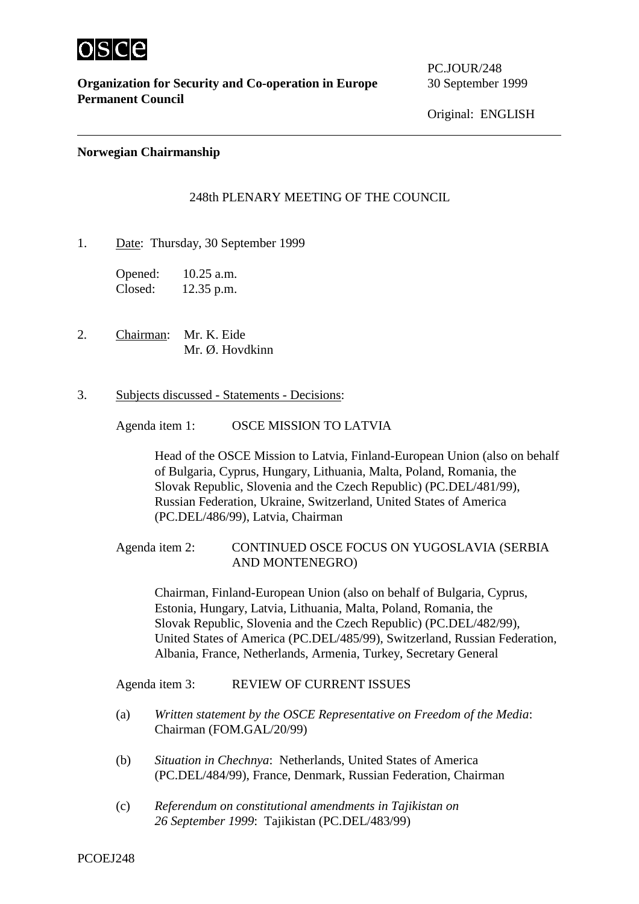

**Organization for Security and Co-operation in Europe** 30 September 1999 **Permanent Council**

PC.JOUR/248

Original: ENGLISH

## **Norwegian Chairmanship**

## 248th PLENARY MEETING OF THE COUNCIL

1. Date: Thursday, 30 September 1999

Opened: 10.25 a.m. Closed: 12.35 p.m.

- 2. Chairman: Mr. K. Eide Mr. Ø. Hovdkinn
- 3. Subjects discussed Statements Decisions:

Agenda item 1: OSCE MISSION TO LATVIA

Head of the OSCE Mission to Latvia, Finland-European Union (also on behalf of Bulgaria, Cyprus, Hungary, Lithuania, Malta, Poland, Romania, the Slovak Republic, Slovenia and the Czech Republic) (PC.DEL/481/99), Russian Federation, Ukraine, Switzerland, United States of America (PC.DEL/486/99), Latvia, Chairman

## Agenda item 2: CONTINUED OSCE FOCUS ON YUGOSLAVIA (SERBIA AND MONTENEGRO)

Chairman, Finland-European Union (also on behalf of Bulgaria, Cyprus, Estonia, Hungary, Latvia, Lithuania, Malta, Poland, Romania, the Slovak Republic, Slovenia and the Czech Republic) (PC.DEL/482/99), United States of America (PC.DEL/485/99), Switzerland, Russian Federation, Albania, France, Netherlands, Armenia, Turkey, Secretary General

Agenda item 3: REVIEW OF CURRENT ISSUES

- (a) *Written statement by the OSCE Representative on Freedom of the Media*: Chairman (FOM.GAL/20/99)
- (b) *Situation in Chechnya*: Netherlands, United States of America (PC.DEL/484/99), France, Denmark, Russian Federation, Chairman
- (c) *Referendum on constitutional amendments in Tajikistan on 26 September 1999*: Tajikistan (PC.DEL/483/99)